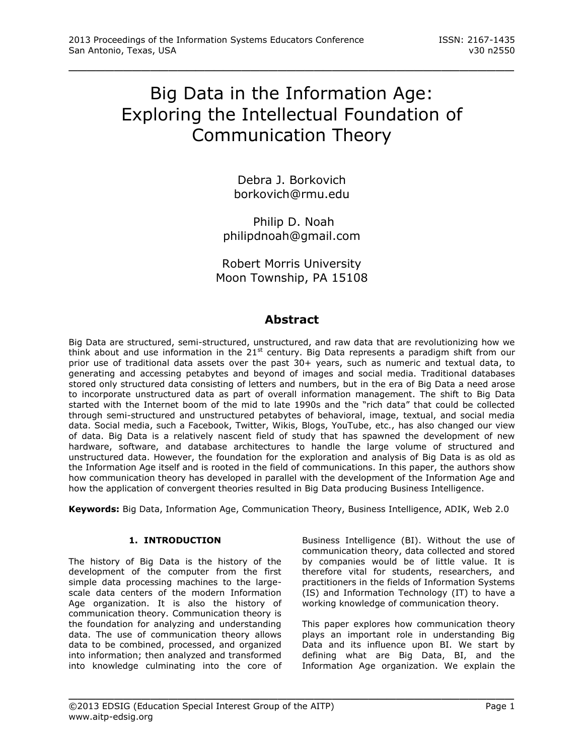# Big Data in the Information Age: Exploring the Intellectual Foundation of Communication Theory

\_\_\_\_\_\_\_\_\_\_\_\_\_\_\_\_\_\_\_\_\_\_\_\_\_\_\_\_\_\_\_\_\_\_\_\_\_\_\_\_\_\_\_\_\_\_\_\_\_

Debra J. Borkovich [borkovich@rmu.edu](mailto:borkovich@rmu.edu)

Philip D. Noah [philipdnoah@gmail.com](mailto:philipdnoah@gmail.com)

Robert Morris University Moon Township, PA 15108

# **Abstract**

Big Data are structured, semi-structured, unstructured, and raw data that are revolutionizing how we think about and use information in the 21<sup>st</sup> century. Big Data represents a paradigm shift from our prior use of traditional data assets over the past 30+ years, such as numeric and textual data, to generating and accessing petabytes and beyond of images and social media. Traditional databases stored only structured data consisting of letters and numbers, but in the era of Big Data a need arose to incorporate unstructured data as part of overall information management. The shift to Big Data started with the Internet boom of the mid to late 1990s and the "rich data" that could be collected through semi-structured and unstructured petabytes of behavioral, image, textual, and social media data. Social media, such a Facebook, Twitter, Wikis, Blogs, YouTube, etc., has also changed our view of data. Big Data is a relatively nascent field of study that has spawned the development of new hardware, software, and database architectures to handle the large volume of structured and unstructured data. However, the foundation for the exploration and analysis of Big Data is as old as the Information Age itself and is rooted in the field of communications. In this paper, the authors show how communication theory has developed in parallel with the development of the Information Age and how the application of convergent theories resulted in Big Data producing Business Intelligence.

**Keywords:** Big Data, Information Age, Communication Theory, Business Intelligence, ADIK, Web 2.0

\_\_\_\_\_\_\_\_\_\_\_\_\_\_\_\_\_\_\_\_\_\_\_\_\_\_\_\_\_\_\_\_\_\_\_\_\_\_\_\_\_\_\_\_\_\_\_\_\_

# **1. INTRODUCTION**

The history of Big Data is the history of the development of the computer from the first simple data processing machines to the largescale data centers of the modern Information Age organization. It is also the history of communication theory. Communication theory is the foundation for analyzing and understanding data. The use of communication theory allows data to be combined, processed, and organized into information; then analyzed and transformed into knowledge culminating into the core of Business Intelligence (BI). Without the use of communication theory, data collected and stored by companies would be of little value. It is therefore vital for students, researchers, and practitioners in the fields of Information Systems (IS) and Information Technology (IT) to have a working knowledge of communication theory.

This paper explores how communication theory plays an important role in understanding Big Data and its influence upon BI. We start by defining what are Big Data, BI, and the Information Age organization. We explain the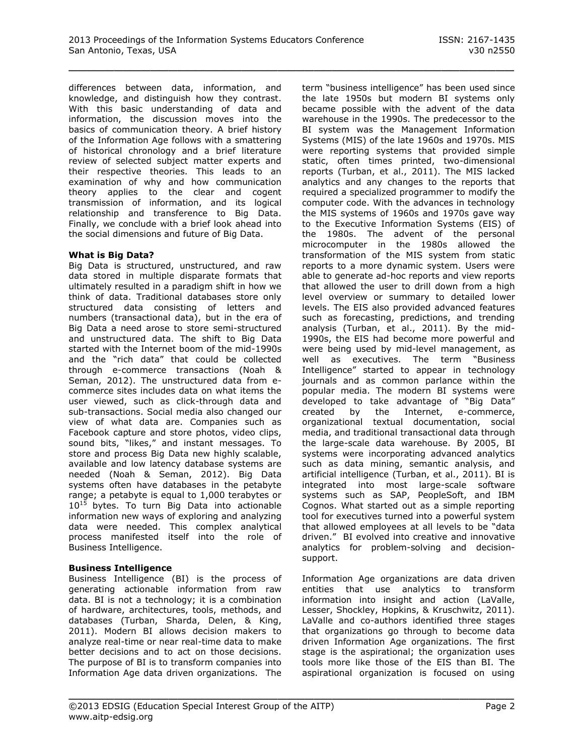differences between data, information, and knowledge, and distinguish how they contrast. With this basic understanding of data and information, the discussion moves into the basics of communication theory. A brief history of the Information Age follows with a smattering of historical chronology and a brief literature review of selected subject matter experts and their respective theories. This leads to an examination of why and how communication theory applies to the clear and cogent transmission of information, and its logical relationship and transference to Big Data. Finally, we conclude with a brief look ahead into the social dimensions and future of Big Data.

#### **What is Big Data?**

Big Data is structured, unstructured, and raw data stored in multiple disparate formats that ultimately resulted in a paradigm shift in how we think of data. Traditional databases store only structured data consisting of letters and numbers (transactional data), but in the era of Big Data a need arose to store semi-structured and unstructured data. The shift to Big Data started with the Internet boom of the mid-1990s and the "rich data" that could be collected through e-commerce transactions (Noah & Seman, 2012). The unstructured data from ecommerce sites includes data on what items the user viewed, such as click-through data and sub-transactions. Social media also changed our view of what data are. Companies such as Facebook capture and store photos, video clips, sound bits, "likes," and instant messages. To store and process Big Data new highly scalable, available and low latency database systems are needed (Noah & Seman, 2012). Big Data systems often have databases in the petabyte range; a petabyte is equal to 1,000 terabytes or  $10^{15}$  bytes. To turn Big Data into actionable information new ways of exploring and analyzing data were needed. This complex analytical process manifested itself into the role of Business Intelligence.

#### **Business Intelligence**

Business Intelligence (BI) is the process of generating actionable information from raw data. BI is not a technology; it is a combination of hardware, architectures, tools, methods, and databases (Turban, Sharda, Delen, & King, 2011). Modern BI allows decision makers to analyze real-time or near real-time data to make better decisions and to act on those decisions. The purpose of BI is to transform companies into Information Age data driven organizations. The

term "business intelligence" has been used since the late 1950s but modern BI systems only became possible with the advent of the data warehouse in the 1990s. The predecessor to the BI system was the Management Information Systems (MIS) of the late 1960s and 1970s. MIS were reporting systems that provided simple static, often times printed, two-dimensional reports (Turban, et al., 2011). The MIS lacked analytics and any changes to the reports that required a specialized programmer to modify the computer code. With the advances in technology the MIS systems of 1960s and 1970s gave way to the Executive Information Systems (EIS) of the 1980s. The advent of the personal microcomputer in the 1980s allowed the transformation of the MIS system from static reports to a more dynamic system. Users were able to generate ad-hoc reports and view reports that allowed the user to drill down from a high level overview or summary to detailed lower levels. The EIS also provided advanced features such as forecasting, predictions, and trending analysis (Turban, et al., 2011). By the mid-1990s, the EIS had become more powerful and were being used by mid-level management, as well as executives. The term "Business Intelligence" started to appear in technology journals and as common parlance within the popular media. The modern BI systems were developed to take advantage of "Big Data" created by the Internet, e-commerce, organizational textual documentation, social media, and traditional transactional data through the large-scale data warehouse. By 2005, BI systems were incorporating advanced analytics such as data mining, semantic analysis, and artificial intelligence (Turban, et al., 2011). BI is integrated into most large-scale software systems such as SAP, PeopleSoft, and IBM Cognos. What started out as a simple reporting tool for executives turned into a powerful system that allowed employees at all levels to be "data driven." BI evolved into creative and innovative analytics for problem-solving and decisionsupport.

Information Age organizations are data driven entities that use analytics to transform information into insight and action (LaValle, Lesser, Shockley, Hopkins, & Kruschwitz, 2011). LaValle and co-authors identified three stages that organizations go through to become data driven Information Age organizations. The first stage is the aspirational; the organization uses tools more like those of the EIS than BI. The aspirational organization is focused on using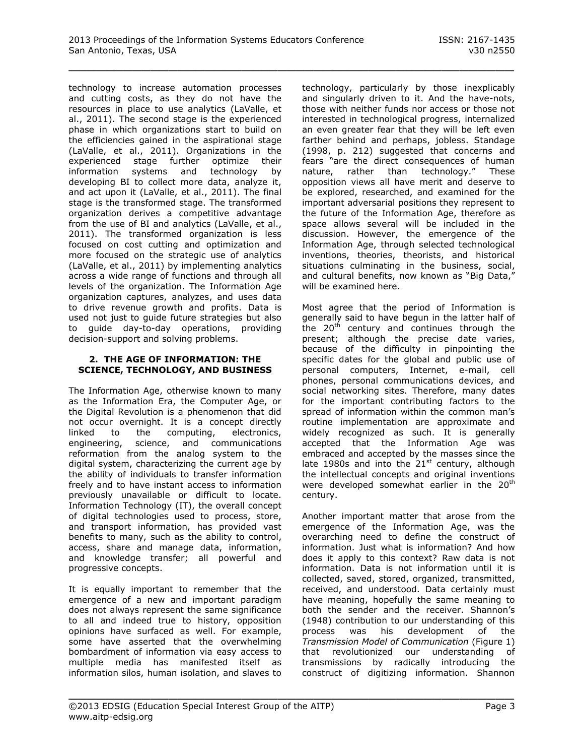technology to increase automation processes and cutting costs, as they do not have the resources in place to use analytics (LaValle, et al., 2011). The second stage is the experienced phase in which organizations start to build on the efficiencies gained in the aspirational stage (LaValle, et al., 2011). Organizations in the experienced stage further optimize their information systems and technology by developing BI to collect more data, analyze it, and act upon it (LaValle, et al., 2011). The final stage is the transformed stage. The transformed organization derives a competitive advantage from the use of BI and analytics (LaValle, et al., 2011). The transformed organization is less focused on cost cutting and optimization and more focused on the strategic use of analytics (LaValle, et al., 2011) by implementing analytics across a wide range of functions and through all levels of the organization. The Information Age organization captures, analyzes, and uses data to drive revenue growth and profits. Data is used not just to guide future strategies but also to guide day-to-day operations, providing decision-support and solving problems.

#### **2. THE AGE OF INFORMATION: THE SCIENCE, TECHNOLOGY, AND BUSINESS**

The Information Age, otherwise known to many as the Information Era, the Computer Age, or the Digital Revolution is a phenomenon that did not occur overnight. It is a concept directly linked to the computing, electronics, engineering, science, and communications reformation from the analog system to the digital system, characterizing the current age by the ability of individuals to transfer information freely and to have instant access to information previously unavailable or difficult to locate. Information Technology (IT), the overall concept of digital technologies used to process, store, and transport information, has provided vast benefits to many, such as the ability to control, access, share and manage data, information, and knowledge transfer; all powerful and progressive concepts.

It is equally important to remember that the emergence of a new and important paradigm does not always represent the same significance to all and indeed true to history, opposition opinions have surfaced as well. For example, some have asserted that the overwhelming bombardment of information via easy access to multiple media has manifested itself as information silos, human isolation, and slaves to

technology, particularly by those inexplicably and singularly driven to it. And the have-nots, those with neither funds nor access or those not interested in technological progress, internalized an even greater fear that they will be left even farther behind and perhaps, jobless. Standage (1998, p. 212) suggested that concerns and fears "are the direct consequences of human nature, rather than technology." These opposition views all have merit and deserve to be explored, researched, and examined for the important adversarial positions they represent to the future of the Information Age, therefore as space allows several will be included in the discussion. However, the emergence of the Information Age, through selected technological inventions, theories, theorists, and historical situations culminating in the business, social, and cultural benefits, now known as "Big Data," will be examined here.

Most agree that the period of Information is generally said to have begun in the latter half of the  $20<sup>th</sup>$  century and continues through the present; although the precise date varies, because of the difficulty in pinpointing the specific dates for the global and public use of personal computers, Internet, e-mail, cell phones, personal communications devices, and social networking sites. Therefore, many dates for the important contributing factors to the spread of information within the common man's routine implementation are approximate and widely recognized as such. It is generally accepted that the Information Age was embraced and accepted by the masses since the late 1980s and into the  $21<sup>st</sup>$  century, although the intellectual concepts and original inventions were developed somewhat earlier in the 20<sup>th</sup> century.

Another important matter that arose from the emergence of the Information Age, was the overarching need to define the construct of information. Just what is information? And how does it apply to this context? Raw data is not information. Data is not information until it is collected, saved, stored, organized, transmitted, received, and understood. Data certainly must have meaning, hopefully the same meaning to both the sender and the receiver. Shannon's (1948) contribution to our understanding of this<br>process was his development of the was his development of the *Transmission Model of Communication* (Figure 1) that revolutionized our understanding of transmissions by radically introducing the construct of digitizing information. Shannon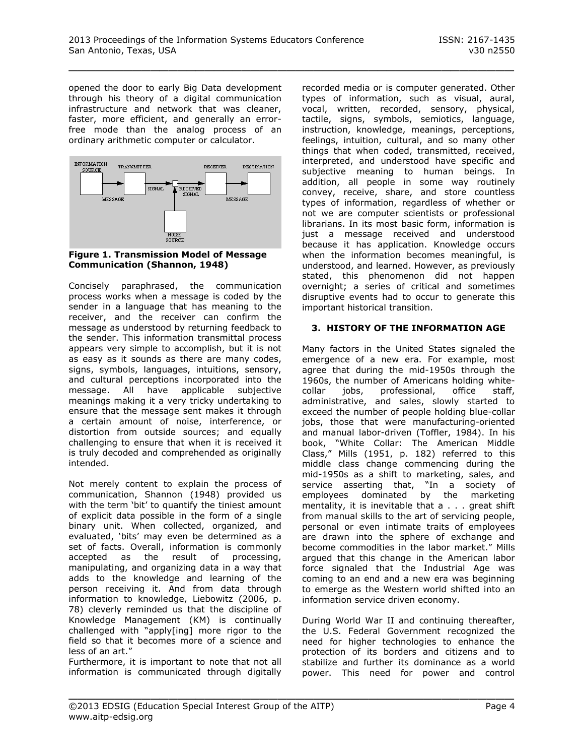opened the door to early Big Data development through his theory of a digital communication infrastructure and network that was cleaner, faster, more efficient, and generally an errorfree mode than the analog process of an ordinary arithmetic computer or calculator.



**Figure 1. Transmission Model of Message Communication (Shannon, 1948)**

Concisely paraphrased, the communication process works when a message is coded by the sender in a language that has meaning to the receiver, and the receiver can confirm the message as understood by returning feedback to the sender. This information transmittal process appears very simple to accomplish, but it is not as easy as it sounds as there are many codes, signs, symbols, languages, intuitions, sensory, and cultural perceptions incorporated into the message. All have applicable subjective meanings making it a very tricky undertaking to ensure that the message sent makes it through a certain amount of noise, interference, or distortion from outside sources; and equally challenging to ensure that when it is received it is truly decoded and comprehended as originally intended.

Not merely content to explain the process of communication, Shannon (1948) provided us with the term 'bit' to quantify the tiniest amount of explicit data possible in the form of a single binary unit. When collected, organized, and evaluated, 'bits' may even be determined as a set of facts. Overall, information is commonly accepted as the result of processing, manipulating, and organizing data in a way that adds to the knowledge and learning of the person receiving it. And from data through information to knowledge, Liebowitz (2006, p. 78) cleverly reminded us that the discipline of Knowledge Management (KM) is continually challenged with "apply[ing] more rigor to the field so that it becomes more of a science and less of an art."

Furthermore, it is important to note that not all information is communicated through digitally recorded media or is computer generated. Other types of information, such as visual, aural, vocal, written, recorded, sensory, physical, tactile, signs, symbols, semiotics, language, instruction, knowledge, meanings, perceptions, feelings, intuition, cultural, and so many other things that when coded, transmitted, received, interpreted, and understood have specific and subjective meaning to human beings. In addition, all people in some way routinely convey, receive, share, and store countless types of information, regardless of whether or not we are computer scientists or professional librarians. In its most basic form, information is just a message received and understood because it has application. Knowledge occurs when the information becomes meaningful, is understood, and learned. However, as previously stated, this phenomenon did not happen overnight; a series of critical and sometimes disruptive events had to occur to generate this important historical transition.

# **3. HISTORY OF THE INFORMATION AGE**

Many factors in the United States signaled the emergence of a new era. For example, most agree that during the mid-1950s through the 1960s, the number of Americans holding whitecollar jobs, professional, office staff, administrative, and sales, slowly started to exceed the number of people holding blue-collar jobs, those that were manufacturing-oriented and manual labor-driven (Toffler, 1984). In his book, "White Collar: The American Middle Class," Mills (1951, p. 182) referred to this middle class change commencing during the mid-1950s as a shift to marketing, sales, and service asserting that, "In a society of employees dominated by the marketing mentality, it is inevitable that a . . . great shift from manual skills to the art of servicing people, personal or even intimate traits of employees are drawn into the sphere of exchange and become commodities in the labor market." Mills argued that this change in the American labor force signaled that the Industrial Age was coming to an end and a new era was beginning to emerge as the Western world shifted into an information service driven economy.

During World War II and continuing thereafter, the U.S. Federal Government recognized the need for higher technologies to enhance the protection of its borders and citizens and to stabilize and further its dominance as a world power. This need for power and control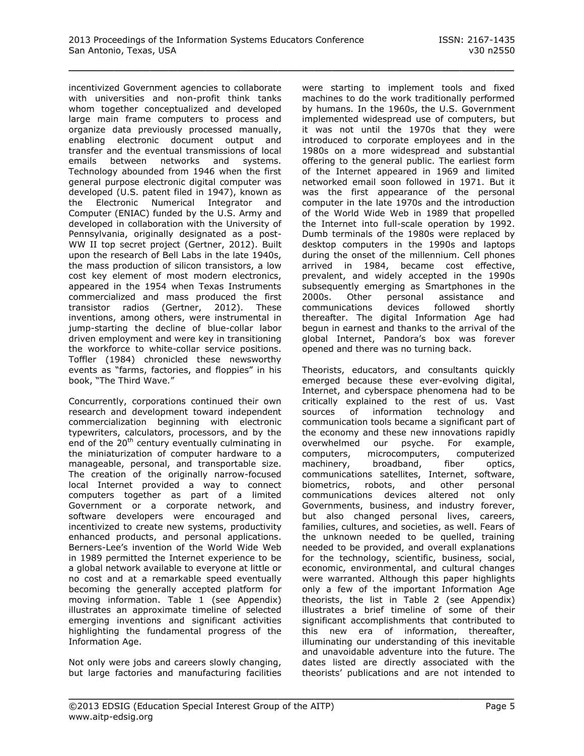incentivized Government agencies to collaborate with universities and non-profit think tanks whom together conceptualized and developed large main frame computers to process and organize data previously processed manually, enabling electronic document output and transfer and the eventual transmissions of local emails between networks and systems. Technology abounded from 1946 when the first general purpose electronic digital computer was developed (U.S. patent filed in 1947), known as the Electronic Numerical Integrator and Computer (ENIAC) funded by the U.S. Army and developed in collaboration with the University of Pennsylvania, originally designated as a post-WW II top secret project (Gertner, 2012). Built upon the research of Bell Labs in the late 1940s, the mass production of silicon transistors, a low cost key element of most modern electronics, appeared in the 1954 when Texas Instruments commercialized and mass produced the first transistor radios (Gertner, 2012). These inventions, among others, were instrumental in jump-starting the decline of blue-collar labor driven employment and were key in transitioning the workforce to white-collar service positions. Toffler (1984) chronicled these newsworthy events as "farms, factories, and floppies" in his book, "The Third Wave."

Concurrently, corporations continued their own research and development toward independent commercialization beginning with electronic typewriters, calculators, processors, and by the end of the 20<sup>th</sup> century eventually culminating in the miniaturization of computer hardware to a manageable, personal, and transportable size. The creation of the originally narrow-focused local Internet provided a way to connect computers together as part of a limited Government or a corporate network, and software developers were encouraged and incentivized to create new systems, productivity enhanced products, and personal applications. Berners-Lee's invention of the World Wide Web in 1989 permitted the Internet experience to be a global network available to everyone at little or no cost and at a remarkable speed eventually becoming the generally accepted platform for moving information. Table 1 (see Appendix) illustrates an approximate timeline of selected emerging inventions and significant activities highlighting the fundamental progress of the Information Age.

Not only were jobs and careers slowly changing, but large factories and manufacturing facilities were starting to implement tools and fixed machines to do the work traditionally performed by humans. In the 1960s, the U.S. Government implemented widespread use of computers, but it was not until the 1970s that they were introduced to corporate employees and in the 1980s on a more widespread and substantial offering to the general public. The earliest form of the Internet appeared in 1969 and limited networked email soon followed in 1971. But it was the first appearance of the personal computer in the late 1970s and the introduction of the World Wide Web in 1989 that propelled the Internet into full-scale operation by 1992. Dumb terminals of the 1980s were replaced by desktop computers in the 1990s and laptops during the onset of the millennium. Cell phones arrived in 1984, became cost effective, prevalent, and widely accepted in the 1990s subsequently emerging as Smartphones in the 2000s. Other personal assistance and communications devices followed shortly thereafter. The digital Information Age had begun in earnest and thanks to the arrival of the global Internet, Pandora's box was forever opened and there was no turning back.

Theorists, educators, and consultants quickly emerged because these ever-evolving digital, Internet, and cyberspace phenomena had to be critically explained to the rest of us. Vast sources of information technology and communication tools became a significant part of the economy and these new innovations rapidly overwhelmed our psyche. For example, computers, microcomputers, computerized machinery, broadband, fiber optics, communications satellites, Internet, software, biometrics, robots, and other personal communications devices altered not only Governments, business, and industry forever, but also changed personal lives, careers, families, cultures, and societies, as well. Fears of the unknown needed to be quelled, training needed to be provided, and overall explanations for the technology, scientific, business, social, economic, environmental, and cultural changes were warranted. Although this paper highlights only a few of the important Information Age theorists, the list in Table 2 (see Appendix) illustrates a brief timeline of some of their significant accomplishments that contributed to this new era of information, thereafter, illuminating our understanding of this inevitable and unavoidable adventure into the future. The dates listed are directly associated with the theorists' publications and are not intended to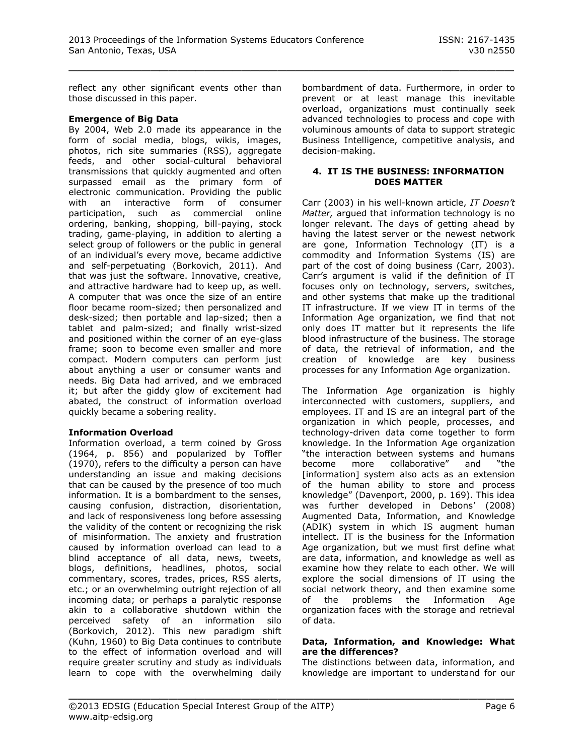reflect any other significant events other than those discussed in this paper.

#### **Emergence of Big Data**

By 2004, Web 2.0 made its appearance in the form of social media, blogs, wikis, images, photos, rich site summaries (RSS), aggregate feeds, and other social-cultural behavioral transmissions that quickly augmented and often surpassed email as the primary form of electronic communication. Providing the public with an interactive form of consumer participation, such as commercial online ordering, banking, shopping, bill-paying, stock trading, game-playing, in addition to alerting a select group of followers or the public in general of an individual's every move, became addictive and self-perpetuating (Borkovich, 2011). And that was just the software. Innovative, creative, and attractive hardware had to keep up, as well. A computer that was once the size of an entire floor became room-sized; then personalized and desk-sized; then portable and lap-sized; then a tablet and palm-sized; and finally wrist-sized and positioned within the corner of an eye-glass frame; soon to become even smaller and more compact. Modern computers can perform just about anything a user or consumer wants and needs. Big Data had arrived, and we embraced it; but after the giddy glow of excitement had abated, the construct of information overload quickly became a sobering reality.

# **Information Overload**

Information overload, a term coined by Gross (1964, p. 856) and popularized by Toffler (1970), refers to the difficulty a person can have understanding an issue and making decisions that can be caused by the presence of too much information. It is a bombardment to the senses, causing confusion, distraction, disorientation, and lack of responsiveness long before assessing the validity of the content or recognizing the risk of misinformation. The anxiety and frustration caused by information overload can lead to a blind acceptance of all data, news, tweets, blogs, definitions, headlines, photos, social commentary, scores, trades, prices, RSS alerts, etc.; or an overwhelming outright rejection of all incoming data; or perhaps a paralytic response akin to a collaborative shutdown within the perceived safety of an information silo (Borkovich, 2012). This new paradigm shift (Kuhn, 1960) to Big Data continues to contribute to the effect of information overload and will require greater scrutiny and study as individuals learn to cope with the overwhelming daily bombardment of data. Furthermore, in order to prevent or at least manage this inevitable overload, organizations must continually seek advanced technologies to process and cope with voluminous amounts of data to support strategic Business Intelligence, competitive analysis, and decision-making.

#### **4. IT IS THE BUSINESS: INFORMATION DOES MATTER**

Carr (2003) in his well-known article, *IT Doesn't Matter,* argued that information technology is no longer relevant. The days of getting ahead by having the latest server or the newest network are gone, Information Technology (IT) is a commodity and Information Systems (IS) are part of the cost of doing business (Carr, 2003). Carr's argument is valid if the definition of IT focuses only on technology, servers, switches, and other systems that make up the traditional IT infrastructure. If we view IT in terms of the Information Age organization, we find that not only does IT matter but it represents the life blood infrastructure of the business. The storage of data, the retrieval of information, and the creation of knowledge are key business processes for any Information Age organization.

The Information Age organization is highly interconnected with customers, suppliers, and employees. IT and IS are an integral part of the organization in which people, processes, and technology-driven data come together to form knowledge. In the Information Age organization "the interaction between systems and humans become more collaborative" and "the [information] system also acts as an extension of the human ability to store and process knowledge" (Davenport, 2000, p. 169). This idea was further developed in Debons' (2008) Augmented Data, Information, and Knowledge (ADIK) system in which IS augment human intellect. IT is the business for the Information Age organization, but we must first define what are data, information, and knowledge as well as examine how they relate to each other. We will explore the social dimensions of IT using the social network theory, and then examine some of the problems the Information Age organization faces with the storage and retrieval of data.

#### **Data, Information, and Knowledge: What are the differences?**

The distinctions between data, information, and knowledge are important to understand for our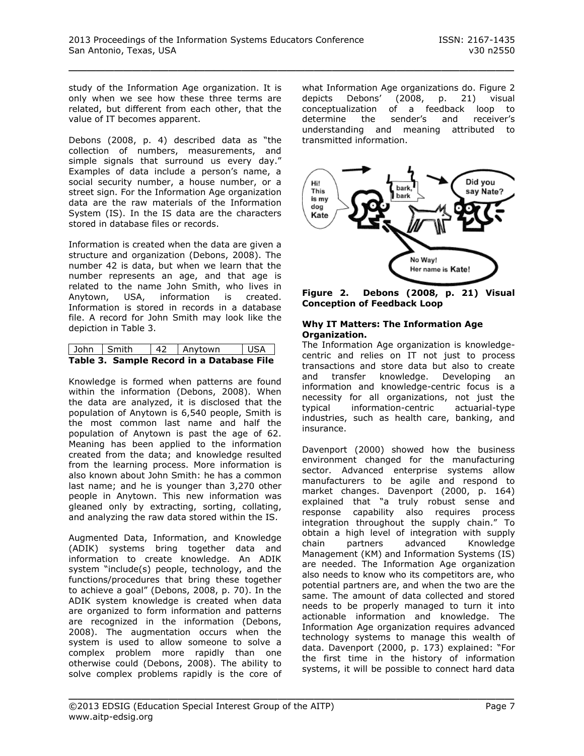study of the Information Age organization. It is only when we see how these three terms are related, but different from each other, that the value of IT becomes apparent.

Debons (2008, p. 4) described data as "the collection of numbers, measurements, and simple signals that surround us every day." Examples of data include a person's name, a social security number, a house number, or a street sign. For the Information Age organization data are the raw materials of the Information System (IS). In the IS data are the characters stored in database files or records.

Information is created when the data are given a structure and organization (Debons, 2008). The number 42 is data, but when we learn that the number represents an age, and that age is related to the name John Smith, who lives in Anytown, USA, information is created. Information is stored in records in a database file. A record for John Smith may look like the depiction in Table 3.

| John   Smith                              |  |  | 42   Anytown | l USA |  |  |
|-------------------------------------------|--|--|--------------|-------|--|--|
| Table 3. Sample Record in a Database File |  |  |              |       |  |  |

Knowledge is formed when patterns are found within the information (Debons, 2008). When the data are analyzed, it is disclosed that the population of Anytown is 6,540 people, Smith is the most common last name and half the population of Anytown is past the age of 62. Meaning has been applied to the information created from the data; and knowledge resulted from the learning process. More information is also known about John Smith: he has a common last name; and he is younger than 3,270 other people in Anytown. This new information was gleaned only by extracting, sorting, collating, and analyzing the raw data stored within the IS.

Augmented Data, Information, and Knowledge (ADIK) systems bring together data and information to create knowledge. An ADIK system "include(s) people, technology, and the functions/procedures that bring these together to achieve a goal" (Debons, 2008, p. 70). In the ADIK system knowledge is created when data are organized to form information and patterns are recognized in the information (Debons, 2008). The augmentation occurs when the system is used to allow someone to solve a complex problem more rapidly than one otherwise could (Debons, 2008). The ability to solve complex problems rapidly is the core of what Information Age organizations do. Figure 2 depicts Debons' (2008, p. 21) visual conceptualization of a feedback loop to determine the sender's and receiver's understanding and meaning attributed to transmitted information.



**Figure 2. Debons (2008, p. 21) Visual Conception of Feedback Loop**

#### **Why IT Matters: The Information Age Organization.**

The Information Age organization is knowledgecentric and relies on IT not just to process transactions and store data but also to create and transfer knowledge. Developing an information and knowledge-centric focus is a necessity for all organizations, not just the typical information-centric actuarial-type industries, such as health care, banking, and insurance.

Davenport (2000) showed how the business environment changed for the manufacturing sector. Advanced enterprise systems allow manufacturers to be agile and respond to market changes. Davenport (2000, p. 164) explained that "a truly robust sense and response capability also requires process integration throughout the supply chain." To obtain a high level of integration with supply<br>chain partners advanced Knowledae chain partners advanced Knowledge Management (KM) and Information Systems (IS) are needed. The Information Age organization also needs to know who its competitors are, who potential partners are, and when the two are the same. The amount of data collected and stored needs to be properly managed to turn it into actionable information and knowledge. The Information Age organization requires advanced technology systems to manage this wealth of data. Davenport (2000, p. 173) explained: "For the first time in the history of information systems, it will be possible to connect hard data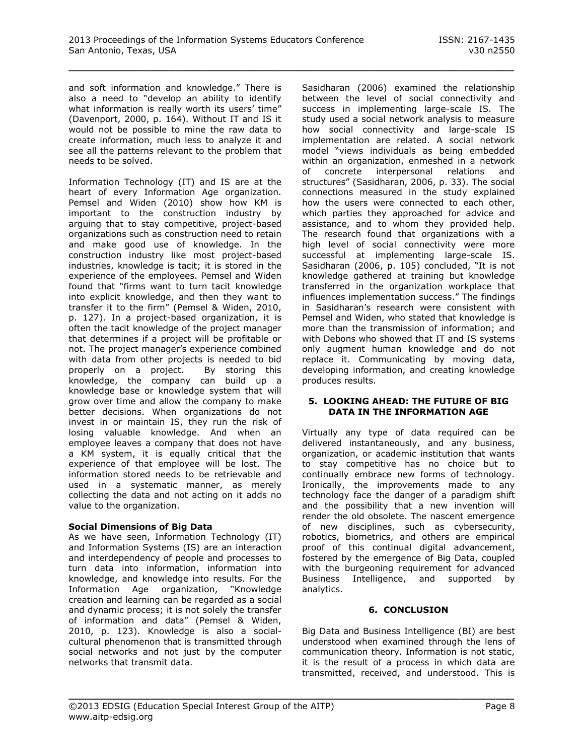and soft information and knowledge." There is also a need to "develop an ability to identify what information is really worth its users' time" (Davenport, 2000, p. 164). Without IT and IS it would not be possible to mine the raw data to create information, much less to analyze it and see all the patterns relevant to the problem that needs to be solved.

Information Technology (IT) and IS are at the heart of every Information Age organization. Pemsel and Widen (2010) show how KM is important to the construction industry by arguing that to stay competitive, project-based organizations such as construction need to retain and make good use of knowledge. In the construction industry like most project-based industries, knowledge is tacit; it is stored in the experience of the employees. Pemsel and Widen found that "firms want to turn tacit knowledge into explicit knowledge, and then they want to transfer it to the firm" (Pemsel & Widen, 2010, p. 127). In a project-based organization, it is often the tacit knowledge of the project manager that determines if a project will be profitable or not. The project manager's experience combined with data from other projects is needed to bid properly on a project. By storing this knowledge, the company can build up a knowledge base or knowledge system that will grow over time and allow the company to make better decisions. When organizations do not invest in or maintain IS, they run the risk of losing valuable knowledge. And when an employee leaves a company that does not have a KM system, it is equally critical that the experience of that employee will be lost. The information stored needs to be retrievable and used in a systematic manner, as merely collecting the data and not acting on it adds no value to the organization.

# **Social Dimensions of Big Data**

As we have seen, Information Technology (IT) and Information Systems (IS) are an interaction and interdependency of people and processes to turn data into information, information into knowledge, and knowledge into results. For the Information Age organization, "Knowledge creation and learning can be regarded as a social and dynamic process; it is not solely the transfer of information and data" (Pemsel & Widen, 2010, p. 123). Knowledge is also a socialcultural phenomenon that is transmitted through social networks and not just by the computer networks that transmit data.

Sasidharan (2006) examined the relationship between the level of social connectivity and success in implementing large-scale IS. The study used a social network analysis to measure how social connectivity and large-scale IS implementation are related. A social network model "views individuals as being embedded within an organization, enmeshed in a network of concrete interpersonal relations and structures" (Sasidharan, 2006, p. 33). The social connections measured in the study explained how the users were connected to each other, which parties they approached for advice and assistance, and to whom they provided help. The research found that organizations with a high level of social connectivity were more successful at implementing large-scale IS. Sasidharan (2006, p. 105) concluded, "It is not knowledge gathered at training but knowledge transferred in the organization workplace that influences implementation success." The findings in Sasidharan's research were consistent with Pemsel and Widen, who stated that knowledge is more than the transmission of information; and with Debons who showed that IT and IS systems only augment human knowledge and do not replace it. Communicating by moving data, developing information, and creating knowledge produces results.

#### **5. LOOKING AHEAD: THE FUTURE OF BIG DATA IN THE INFORMATION AGE**

Virtually any type of data required can be delivered instantaneously, and any business, organization, or academic institution that wants to stay competitive has no choice but to continually embrace new forms of technology. Ironically, the improvements made to any technology face the danger of a paradigm shift and the possibility that a new invention will render the old obsolete. The nascent emergence of new disciplines, such as cybersecurity, robotics, biometrics, and others are empirical proof of this continual digital advancement, fostered by the emergence of Big Data, coupled with the burgeoning requirement for advanced Business Intelligence, and supported by analytics.

#### **6. CONCLUSION**

Big Data and Business Intelligence (BI) are best understood when examined through the lens of communication theory. Information is not static, it is the result of a process in which data are transmitted, received, and understood. This is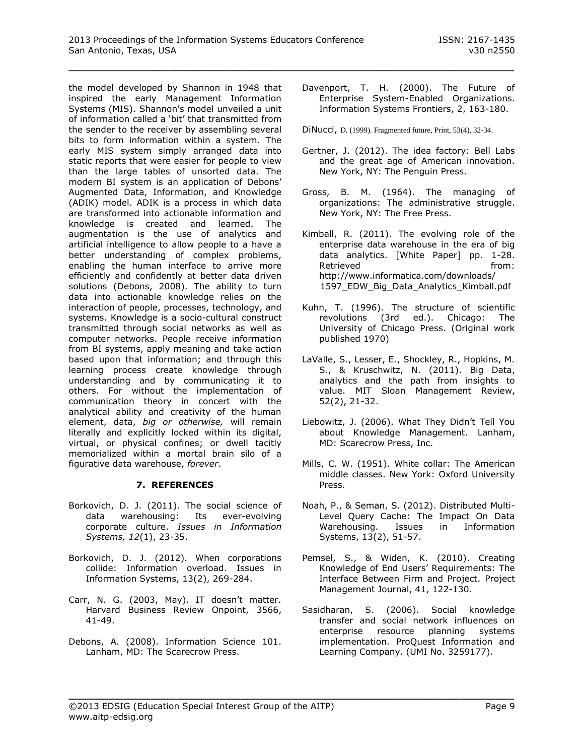the model developed by Shannon in 1948 that inspired the early Management Information Systems (MIS). Shannon's model unveiled a unit of information called a 'bit' that transmitted from the sender to the receiver by assembling several bits to form information within a system. The early MIS system simply arranged data into static reports that were easier for people to view than the large tables of unsorted data. The modern BI system is an application of Debons' Augmented Data, Information, and Knowledge (ADIK) model. ADIK is a process in which data are transformed into actionable information and knowledge is created and learned. The augmentation is the use of analytics and artificial intelligence to allow people to a have a better understanding of complex problems, enabling the human interface to arrive more efficiently and confidently at better data driven solutions (Debons, 2008). The ability to turn data into actionable knowledge relies on the interaction of people, processes, technology, and systems. Knowledge is a socio-cultural construct transmitted through social networks as well as computer networks. People receive information from BI systems, apply meaning and take action based upon that information; and through this learning process create knowledge through understanding and by communicating it to others. For without the implementation of communication theory in concert with the analytical ability and creativity of the human element, data, *big or otherwise,* will remain literally and explicitly locked within its digital, virtual, or physical confines; or dwell tacitly memorialized within a mortal brain silo of a figurative data warehouse, *forever*.

# **7. REFERENCES**

- Borkovich, D. J. (2011). The social science of data warehousing: Its ever-evolving corporate culture. *Issues in Information Systems, 12*(1), 23-35.
- Borkovich, D. J. (2012). When corporations collide: Information overload. Issues in Information Systems, 13(2), 269-284.
- Carr, N. G. (2003, May). IT doesn't matter. Harvard Business Review Onpoint, 3566, 41-49.
- Debons, A. (2008). Information Science 101. Lanham, MD: The Scarecrow Press.
- Davenport, T. H. (2000). The Future of Enterprise System-Enabled Organizations. Information Systems Frontiers, 2, 163-180.
- DiNucci, D. (1999). Fragmented future, Print, 53(4), 32-34.
- Gertner, J. (2012). The idea factory: Bell Labs and the great age of American innovation. New York, NY: The Penguin Press.
- Gross, B. M. (1964). The managing of organizations: The administrative struggle. New York, NY: The Free Press.
- Kimball, R. (2011). The evolving role of the enterprise data warehouse in the era of big data analytics. [White Paper] pp. 1-28. Retrieved **from:** <http://www.informatica.com/downloads/> 1597\_EDW\_Big\_Data\_Analytics\_Kimball.pdf
- Kuhn, T. (1996). The structure of scientific revolutions (3rd ed.). Chicago: The University of Chicago Press. (Original work published 1970)
- LaValle, S., Lesser, E., Shockley, R., Hopkins, M. S., & Kruschwitz, N. (2011). Big Data, analytics and the path from insights to value. MIT Sloan Management Review, 52(2), 21-32.
- Liebowitz, J. (2006). What They Didn't Tell You about Knowledge Management. Lanham, MD: Scarecrow Press, Inc.
- Mills, C. W. (1951). White collar: The American middle classes. New York: Oxford University Press.
- Noah, P., & Seman, S. (2012). Distributed Multi-Level Query Cache: The Impact On Data Warehousing. Issues in Information Systems, 13(2), 51-57.
- Pemsel, S., & Widen, K. (2010). Creating Knowledge of End Users' Requirements: The Interface Between Firm and Project. Project Management Journal, 41, 122-130.
- Sasidharan, S. (2006). Social knowledge transfer and social network influences on enterprise resource planning systems implementation. ProQuest Information and Learning Company. (UMI No. 3259177).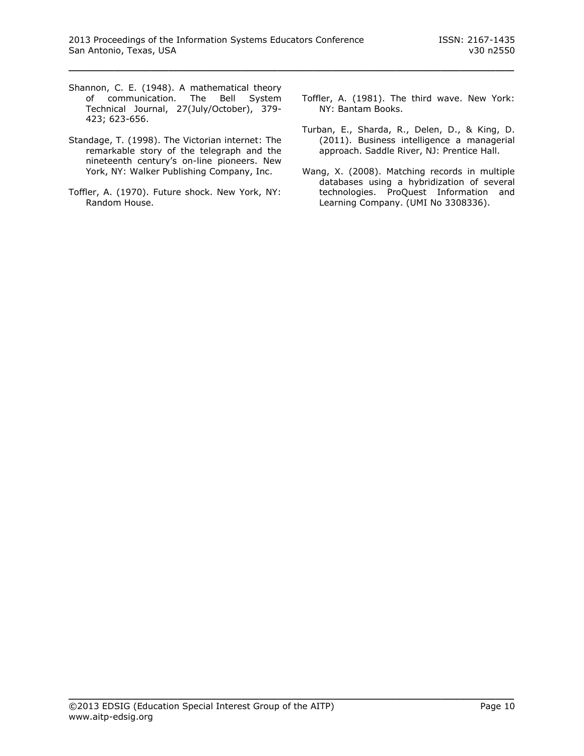- Shannon, C. E. (1948). A mathematical theory of communication. The Bell System Technical Journal, 27(July/October), 379- 423; 623-656.
- Standage, T. (1998). The Victorian internet: The remarkable story of the telegraph and the nineteenth century's on-line pioneers. New York, NY: Walker Publishing Company, Inc.
- Toffler, A. (1970). Future shock. New York, NY: Random House.
- Toffler, A. (1981). The third wave. New York: NY: Bantam Books.
- Turban, E., Sharda, R., Delen, D., & King, D. (2011). Business intelligence a managerial approach. Saddle River, NJ: Prentice Hall.
- Wang, X. (2008). Matching records in multiple databases using a hybridization of several technologies. ProQuest Information and Learning Company. (UMI No 3308336).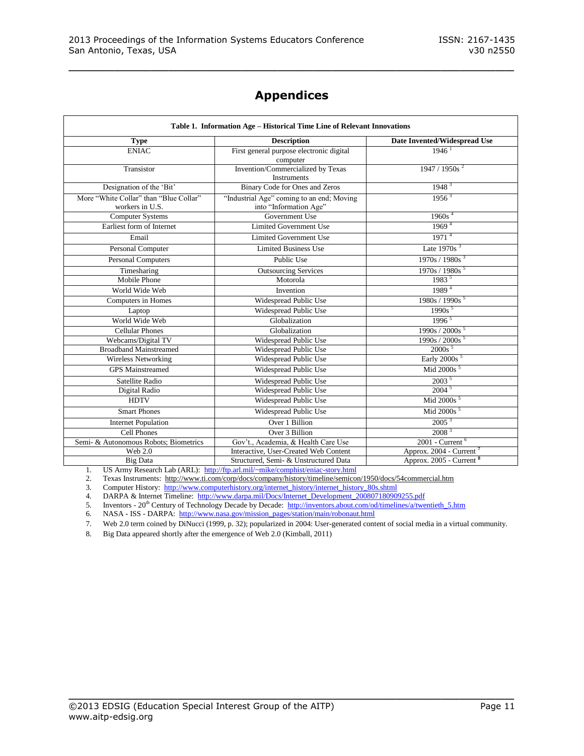# **Appendices**

\_\_\_\_\_\_\_\_\_\_\_\_\_\_\_\_\_\_\_\_\_\_\_\_\_\_\_\_\_\_\_\_\_\_\_\_\_\_\_\_\_\_\_\_\_\_\_\_\_

| Table 1. Information Age – Historical Time Line of Relevant Innovations |                                                                     |                                     |  |  |  |
|-------------------------------------------------------------------------|---------------------------------------------------------------------|-------------------------------------|--|--|--|
| <b>Type</b>                                                             | <b>Description</b>                                                  | Date Invented/Widespread Use        |  |  |  |
| <b>ENIAC</b>                                                            | First general purpose electronic digital<br>computer                | $1946$ <sup>1</sup>                 |  |  |  |
| Transistor                                                              | Invention/Commercialized by Texas<br><b>Instruments</b>             | 1947 / 1950s <sup>2</sup>           |  |  |  |
| Designation of the 'Bit'                                                | Binary Code for Ones and Zeros                                      | 1948 <sup>3</sup>                   |  |  |  |
| More "White Collar" than "Blue Collar"<br>workers in U.S.               | "Industrial Age" coming to an end; Moving<br>into "Information Age" | $1956^3$                            |  |  |  |
| <b>Computer Systems</b>                                                 | Government Use                                                      | 1960s <sup>4</sup>                  |  |  |  |
| Earliest form of Internet                                               | <b>Limited Government Use</b>                                       | 1969 <sup>4</sup>                   |  |  |  |
| Email                                                                   | <b>Limited Government Use</b>                                       | 1971 <sup>4</sup>                   |  |  |  |
| Personal Computer                                                       | <b>Limited Business Use</b>                                         | Late $1970s3$                       |  |  |  |
| <b>Personal Computers</b>                                               | Public Use                                                          | 1970s / 1980s <sup>3</sup>          |  |  |  |
| Timesharing                                                             | <b>Outsourcing Services</b>                                         | $\frac{1970s / 1980s^5}{1983^5}$    |  |  |  |
| <b>Mobile Phone</b>                                                     | Motorola                                                            |                                     |  |  |  |
| World Wide Web                                                          | Invention                                                           | 1989 <sup>4</sup>                   |  |  |  |
| Computers in Homes                                                      | Widespread Public Use                                               | 1980s / 1990s <sup>5</sup>          |  |  |  |
| Laptop                                                                  | Widespread Public Use                                               | 1990s <sup>5</sup>                  |  |  |  |
| World Wide Web                                                          | Globalization                                                       | 1996 <sup>5</sup>                   |  |  |  |
| <b>Cellular Phones</b>                                                  | Globalization                                                       | 1990s / 2000s <sup>5</sup>          |  |  |  |
| Webcams/Digital TV                                                      | Widespread Public Use                                               | 1990s / 2000s <sup>5</sup>          |  |  |  |
| <b>Broadband Mainstreamed</b>                                           | Widespread Public Use                                               | $2000s$ <sup>5</sup>                |  |  |  |
| Wireless Networking                                                     | Widespread Public Use                                               | Early 2000s <sup>5</sup>            |  |  |  |
| <b>GPS</b> Mainstreamed                                                 | Widespread Public Use                                               | Mid 2000s <sup>5</sup>              |  |  |  |
| Satellite Radio                                                         | Widespread Public Use                                               | 2003 <sup>5</sup>                   |  |  |  |
| Digital Radio                                                           | Widespread Public Use                                               | 2004 <sup>5</sup>                   |  |  |  |
| <b>HDTV</b>                                                             | Widespread Public Use                                               | Mid 2000s <sup>5</sup>              |  |  |  |
| <b>Smart Phones</b>                                                     | Widespread Public Use                                               | Mid 2000s <sup>5</sup>              |  |  |  |
| <b>Internet Population</b>                                              | Over 1 Billion                                                      | 2005 <sup>3</sup>                   |  |  |  |
| Cell Phones                                                             | Over 3 Billion                                                      | 2008 <sup>3</sup>                   |  |  |  |
| Semi- & Autonomous Robots; Biometrics                                   | Gov't., Academia, & Health Care Use                                 | 2001 - Current <sup>6</sup>         |  |  |  |
| Web 2.0                                                                 | Interactive, User-Created Web Content                               | Approx. 2004 - Current <sup>7</sup> |  |  |  |
| <b>Big Data</b>                                                         | Structured, Semi- & Unstructured Data                               | Approx. 2005 - Current <sup>8</sup> |  |  |  |

1. US Army Research Lab (ARL):<http://ftp.arl.mil/~mike/comphist/eniac-story.html>

2. Texas Instruments: http://www.ti.com/corp/docs/company/history/timeline/semicon/1950/docs/54commercial.htm

3. Computer History: [http://www.computerhistory.org/internet\\_history/internet\\_history\\_80s.shtml](https://mobile.techcollaborative.org/exchweb/bin/redir.asp?URL=http://www.computerhistory.org/internet_history/internet_history_80s.shtml)

4. DARPA & Internet Timeline: [http://www.darpa.mil/Docs/Internet\\_Development\\_200807180909255.pdf](https://mobile.techcollaborative.org/exchweb/bin/redir.asp?URL=http://www.darpa.mil/Docs/Internet_Development_200807180909255.pdf)

5. Inventors - 20<sup>th</sup> Century of Technology Decade by Decade: [http://inventors.about.com/od/timelines/a/twentieth\\_5.htm](https://mobile.techcollaborative.org/exchweb/bin/redir.asp?URL=http://inventors.about.com/od/timelines/a/twentieth_5.htm)

6. NASA - ISS - DARPA: [http://www.nasa.gov/mission\\_pages/station/main/robonaut.html](http://www.nasa.gov/mission_pages/station/main/robonaut.html)

7. Web 2.0 term coined by DiNucci (1999, p. 32); popularized in 2004: User-generated content of social media in a virtual community.

\_\_\_\_\_\_\_\_\_\_\_\_\_\_\_\_\_\_\_\_\_\_\_\_\_\_\_\_\_\_\_\_\_\_\_\_\_\_\_\_\_\_\_\_\_\_\_\_\_

8. Big Data appeared shortly after the emergence of Web 2.0 (Kimball, 2011)